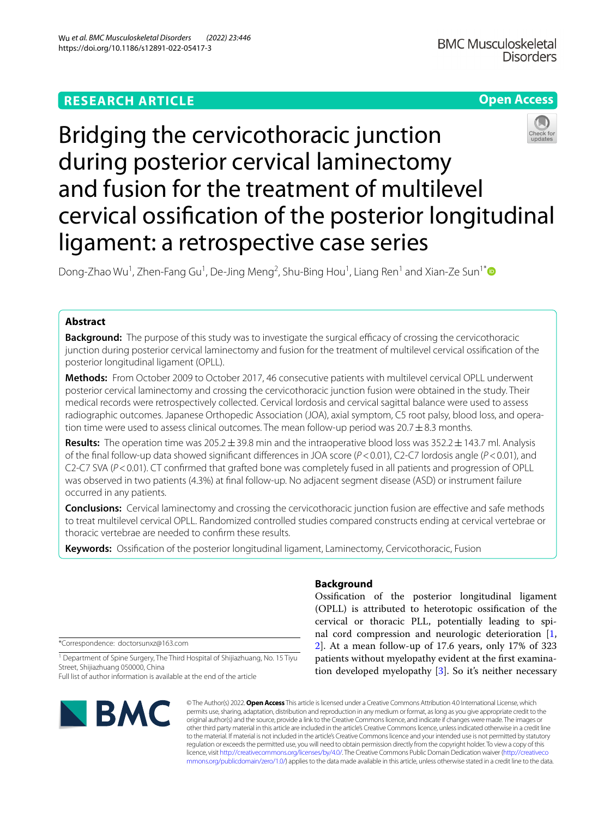# **RESEARCH ARTICLE**



# Bridging the cervicothoracic junction during posterior cervical laminectomy and fusion for the treatment of multilevel cervical ossifcation of the posterior longitudinal ligament: a retrospective case series

Dong-Zhao Wu<sup>1</sup>, Zhen-Fang Gu<sup>1</sup>, De-Jing Meng<sup>2</sup>, Shu-Bing Hou<sup>1</sup>, Liang Ren<sup>1</sup> and Xian-Ze Sun<sup>1\*</sup>

# **Abstract**

**Background:** The purpose of this study was to investigate the surgical efficacy of crossing the cervicothoracic junction during posterior cervical laminectomy and fusion for the treatment of multilevel cervical ossifcation of the posterior longitudinal ligament (OPLL).

**Methods:** From October 2009 to October 2017, 46 consecutive patients with multilevel cervical OPLL underwent posterior cervical laminectomy and crossing the cervicothoracic junction fusion were obtained in the study. Their medical records were retrospectively collected. Cervical lordosis and cervical sagittal balance were used to assess radiographic outcomes. Japanese Orthopedic Association (JOA), axial symptom, C5 root palsy, blood loss, and operation time were used to assess clinical outcomes. The mean follow-up period was  $20.7 \pm 8.3$  months.

**Results:** The operation time was 205.2±39.8 min and the intraoperative blood loss was 352.2±143.7 ml. Analysis of the fnal follow-up data showed signifcant diferences in JOA score (*P*<0.01), C2-C7 lordosis angle (*P*<0.01), and C2-C7 SVA (*P*<0.01). CT confrmed that grafted bone was completely fused in all patients and progression of OPLL was observed in two patients (4.3%) at fnal follow-up. No adjacent segment disease (ASD) or instrument failure occurred in any patients.

**Conclusions:** Cervical laminectomy and crossing the cervicothoracic junction fusion are efective and safe methods to treat multilevel cervical OPLL. Randomized controlled studies compared constructs ending at cervical vertebrae or thoracic vertebrae are needed to confrm these results.

**Keywords:** Ossifcation of the posterior longitudinal ligament, Laminectomy, Cervicothoracic, Fusion

\*Correspondence: doctorsunxz@163.com

<sup>1</sup> Department of Spine Surgery, The Third Hospital of Shijiazhuang, No. 15 Tiyu Street, Shijiazhuang 050000, China

Full list of author information is available at the end of the article



© The Author(s) 2022. **Open Access** This article is licensed under a Creative Commons Attribution 4.0 International License, which permits use, sharing, adaptation, distribution and reproduction in any medium or format, as long as you give appropriate credit to the original author(s) and the source, provide a link to the Creative Commons licence, and indicate if changes were made. The images or other third party material in this article are included in the article's Creative Commons licence, unless indicated otherwise in a credit line to the material. If material is not included in the article's Creative Commons licence and your intended use is not permitted by statutory regulation or exceeds the permitted use, you will need to obtain permission directly from the copyright holder. To view a copy of this licence, visit [http://creativecommons.org/licenses/by/4.0/.](http://creativecommons.org/licenses/by/4.0/) The Creative Commons Public Domain Dedication waiver ([http://creativeco](http://creativecommons.org/publicdomain/zero/1.0/) [mmons.org/publicdomain/zero/1.0/](http://creativecommons.org/publicdomain/zero/1.0/)) applies to the data made available in this article, unless otherwise stated in a credit line to the data.

# **Background**

Ossifcation of the posterior longitudinal ligament (OPLL) is attributed to heterotopic ossifcation of the cervical or thoracic PLL, potentially leading to spinal cord compression and neurologic deterioration [\[1](#page-5-0), [2\]](#page-5-1). At a mean follow-up of 17.6 years, only 17% of 323 patients without myelopathy evident at the frst examination developed myelopathy [\[3\]](#page-5-2). So it's neither necessary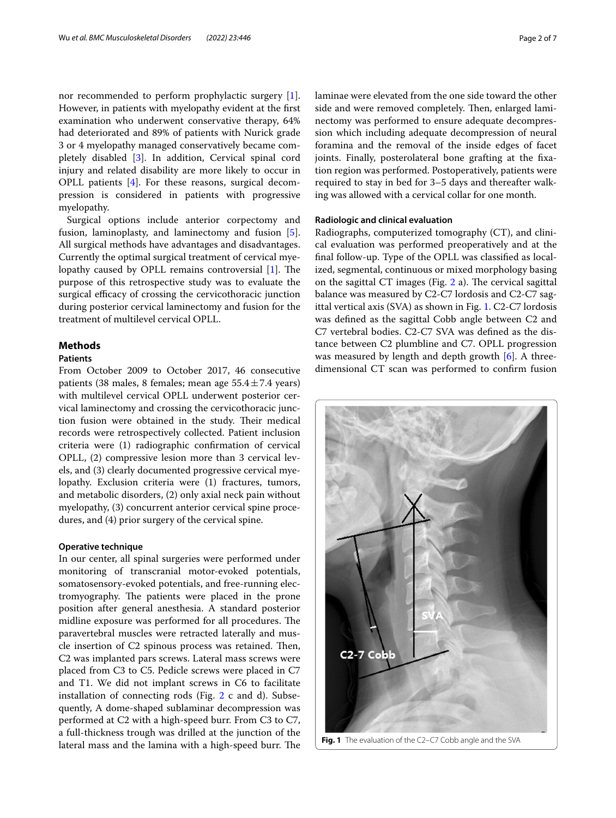nor recommended to perform prophylactic surgery [\[1](#page-5-0)]. However, in patients with myelopathy evident at the frst examination who underwent conservative therapy, 64% had deteriorated and 89% of patients with Nurick grade 3 or 4 myelopathy managed conservatively became completely disabled [\[3](#page-5-2)]. In addition, Cervical spinal cord injury and related disability are more likely to occur in OPLL patients [[4\]](#page-5-3). For these reasons, surgical decompression is considered in patients with progressive myelopathy.

Surgical options include anterior corpectomy and fusion, laminoplasty, and laminectomy and fusion [\[5](#page-5-4)]. All surgical methods have advantages and disadvantages. Currently the optimal surgical treatment of cervical myelopathy caused by OPLL remains controversial  $[1]$ . The purpose of this retrospective study was to evaluate the surgical efficacy of crossing the cervicothoracic junction during posterior cervical laminectomy and fusion for the treatment of multilevel cervical OPLL.

# **Methods**

# **Patients**

From October 2009 to October 2017, 46 consecutive patients (38 males, 8 females; mean age  $55.4 \pm 7.4$  years) with multilevel cervical OPLL underwent posterior cervical laminectomy and crossing the cervicothoracic junction fusion were obtained in the study. Their medical records were retrospectively collected. Patient inclusion criteria were (1) radiographic confrmation of cervical OPLL, (2) compressive lesion more than 3 cervical levels, and (3) clearly documented progressive cervical myelopathy. Exclusion criteria were (1) fractures, tumors, and metabolic disorders, (2) only axial neck pain without myelopathy, (3) concurrent anterior cervical spine procedures, and (4) prior surgery of the cervical spine.

# **Operative technique**

<span id="page-1-0"></span>In our center, all spinal surgeries were performed under monitoring of transcranial motor-evoked potentials, somatosensory-evoked potentials, and free-running electromyography. The patients were placed in the prone position after general anesthesia. A standard posterior midline exposure was performed for all procedures. The paravertebral muscles were retracted laterally and muscle insertion of C2 spinous process was retained. Then, C2 was implanted pars screws. Lateral mass screws were placed from C3 to C5. Pedicle screws were placed in C7 and T1. We did not implant screws in C6 to facilitate installation of connecting rods (Fig. [2](#page-2-0) c and d). Subsequently, A dome-shaped sublaminar decompression was performed at C2 with a high-speed burr. From C3 to C7, a full-thickness trough was drilled at the junction of the lateral mass and the lamina with a high-speed burr. The laminae were elevated from the one side toward the other side and were removed completely. Then, enlarged laminectomy was performed to ensure adequate decompression which including adequate decompression of neural foramina and the removal of the inside edges of facet joints. Finally, posterolateral bone grafting at the fxation region was performed. Postoperatively, patients were required to stay in bed for 3–5 days and thereafter walking was allowed with a cervical collar for one month.

# **Radiologic and clinical evaluation**

Radiographs, computerized tomography (CT), and clinical evaluation was performed preoperatively and at the fnal follow-up. Type of the OPLL was classifed as localized, segmental, continuous or mixed morphology basing on the sagittal CT images (Fig.  $2$  a). The cervical sagittal balance was measured by C2-C7 lordosis and C2-C7 sagittal vertical axis (SVA) as shown in Fig. [1.](#page-1-0) C2-C7 lordosis was defned as the sagittal Cobb angle between C2 and C7 vertebral bodies. C2-C7 SVA was defned as the distance between C2 plumbline and C7. OPLL progression was measured by length and depth growth [[6\]](#page-5-5). A threedimensional CT scan was performed to confrm fusion

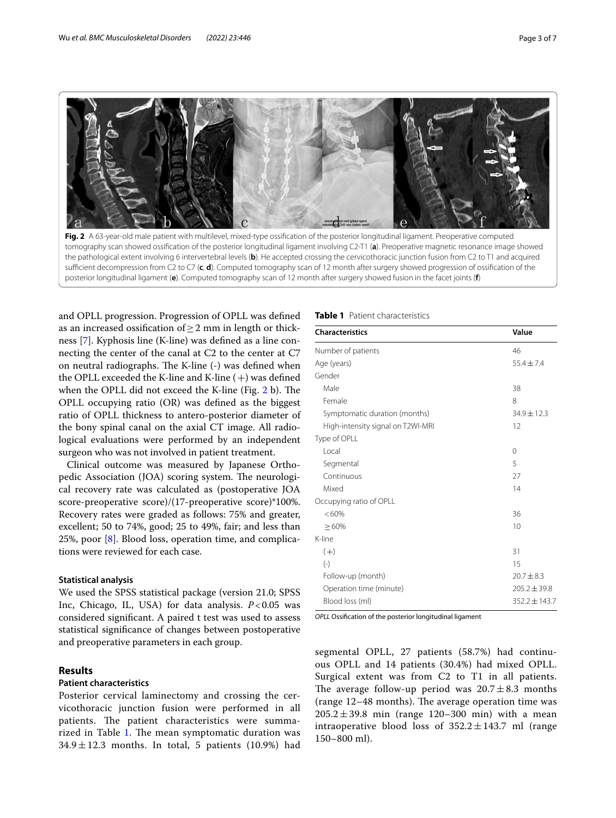

<span id="page-2-0"></span>Fig. 2 A 63-year-old male patient with multilevel, mixed-type ossification of the posterior longitudinal ligament. Preoperative computed tomography scan showed ossifcation of the posterior longitudinal ligament involving C2-T1 (**a**). Preoperative magnetic resonance image showed the pathological extent involving 6 intervertebral levels (**b**). He accepted crossing the cervicothoracic junction fusion from C2 to T1 and acquired sufcient decompression from C2 to C7 (**c**, **d**). Computed tomography scan of 12 month after surgery showed progression of ossifcation of the posterior longitudinal ligament (**e**). Computed tomography scan of 12 month after surgery showed fusion in the facet joints (**f**)

and OPLL progression. Progression of OPLL was defned as an increased ossifcation of≥2 mm in length or thickness [\[7](#page-5-6)]. Kyphosis line (K-line) was defned as a line connecting the center of the canal at C2 to the center at C7 on neutral radiographs. The K-line (-) was defined when the OPLL exceeded the K-line and K-line  $(+)$  was defined when the OPLL did not exceed the K-line (Fig.  $2 b$  $2 b$ ). The OPLL occupying ratio (OR) was defned as the biggest ratio of OPLL thickness to antero-posterior diameter of the bony spinal canal on the axial CT image. All radiological evaluations were performed by an independent surgeon who was not involved in patient treatment.

Clinical outcome was measured by Japanese Orthopedic Association (JOA) scoring system. The neurological recovery rate was calculated as (postoperative JOA score-preoperative score)/(17-preoperative score)\*100%. Recovery rates were graded as follows: 75% and greater, excellent; 50 to 74%, good; 25 to 49%, fair; and less than 25%, poor  $[8]$  $[8]$ . Blood loss, operation time, and complications were reviewed for each case.

# **Statistical analysis**

We used the SPSS statistical package (version 21.0; SPSS Inc, Chicago, IL, USA) for data analysis. *P*<0.05 was considered signifcant. A paired t test was used to assess statistical signifcance of changes between postoperative and preoperative parameters in each group.

# **Results**

# **Patient characteristics**

Posterior cervical laminectomy and crossing the cervicothoracic junction fusion were performed in all patients. The patient characteristics were summa-rized in Table [1](#page-2-1). The mean symptomatic duration was  $34.9 \pm 12.3$  months. In total, 5 patients (10.9%) had

## <span id="page-2-1"></span>**Table 1** Patient characteristics

| <b>Characteristics</b>            | Value             |  |
|-----------------------------------|-------------------|--|
| Number of patients                | 46                |  |
| Age (years)                       | $55.4 + 7.4$      |  |
| Gender                            |                   |  |
| Male                              | 38                |  |
| Female                            | 8                 |  |
| Symptomatic duration (months)     | 34.9±12.3         |  |
| High-intensity signal on T2WI-MRI | 12                |  |
| Type of OPLL                      |                   |  |
| Local                             | $\Omega$          |  |
| Segmental                         | 5                 |  |
| Continuous                        | 27                |  |
| Mixed                             | 14                |  |
| Occupying ratio of OPLL           |                   |  |
| $<60\%$                           | 36                |  |
| >60%                              | 10                |  |
| K-line                            |                   |  |
| $(+)$                             | 31                |  |
| $(-)$                             | 15                |  |
| Follow-up (month)                 | $20.7 \pm 8.3$    |  |
| Operation time (minute)           | $205.2 \pm 39.8$  |  |
| Blood loss (ml)                   | $352.2 \pm 143.7$ |  |

*OPLL* Ossifcation of the posterior longitudinal ligament

segmental OPLL, 27 patients (58.7%) had continuous OPLL and 14 patients (30.4%) had mixed OPLL. Surgical extent was from C2 to T1 in all patients. The average follow-up period was  $20.7 \pm 8.3$  months (range  $12-48$  months). The average operation time was  $205.2 \pm 39.8$  min (range 120–300 min) with a mean intraoperative blood loss of  $352.2 \pm 143.7$  ml (range 150–800 ml).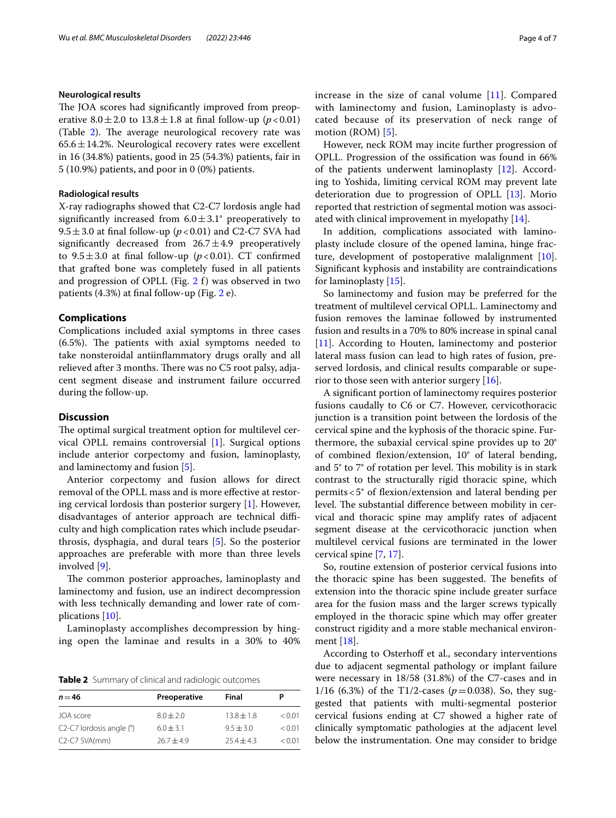# **Neurological results**

The JOA scores had significantly improved from preoperative  $8.0 \pm 2.0$  to  $13.8 \pm 1.8$  at final follow-up ( $p < 0.01$ ) (Table  $2$ ). The average neurological recovery rate was  $65.6 \pm 14.2$ %. Neurological recovery rates were excellent in 16 (34.8%) patients, good in 25 (54.3%) patients, fair in 5 (10.9%) patients, and poor in 0 (0%) patients.

## **Radiological results**

X-ray radiographs showed that C2-C7 lordosis angle had significantly increased from  $6.0 \pm 3.1^{\circ}$  preoperatively to 9.5 $\pm$ 3.0 at final follow-up ( $p$ <0.01) and C2-C7 SVA had significantly decreased from  $26.7 \pm 4.9$  preoperatively to  $9.5 \pm 3.0$  at final follow-up ( $p < 0.01$ ). CT confirmed that grafted bone was completely fused in all patients and progression of OPLL (Fig. [2](#page-2-0) f) was observed in two patients (4.3%) at fnal follow-up (Fig. [2](#page-2-0) e).

# **Complications**

Complications included axial symptoms in three cases  $(6.5\%)$ . The patients with axial symptoms needed to take nonsteroidal antiinfammatory drugs orally and all relieved after 3 months. There was no C5 root palsy, adjacent segment disease and instrument failure occurred during the follow-up.

# **Discussion**

The optimal surgical treatment option for multilevel cervical OPLL remains controversial [\[1](#page-5-0)]. Surgical options include anterior corpectomy and fusion, laminoplasty, and laminectomy and fusion [\[5](#page-5-4)].

Anterior corpectomy and fusion allows for direct removal of the OPLL mass and is more efective at restoring cervical lordosis than posterior surgery [\[1\]](#page-5-0). However, disadvantages of anterior approach are technical difficulty and high complication rates which include pseudarthrosis, dysphagia, and dural tears [\[5](#page-5-4)]. So the posterior approaches are preferable with more than three levels involved [[9\]](#page-5-8).

The common posterior approaches, laminoplasty and laminectomy and fusion, use an indirect decompression with less technically demanding and lower rate of complications [[10\]](#page-5-9).

Laminoplasty accomplishes decompression by hinging open the laminae and results in a 30% to 40%

<span id="page-3-0"></span>**Table 2** Summary of clinical and radiologic outcomes

| $n = 46$                               | Preoperative  | Final        |        |
|----------------------------------------|---------------|--------------|--------|
|                                        |               |              |        |
| JOA score                              | $8.0 \pm 2.0$ | $13.8 + 1.8$ | < 0.01 |
| C2-C7 lordosis angle (°)               | $6.0 + 3.1$   | $9.5 + 3.0$  | < 0.01 |
| C <sub>2</sub> -C <sub>7</sub> SVA(mm) | $76.7 + 4.9$  | $25.4 + 4.3$ | < 0.01 |

increase in the size of canal volume [[11](#page-5-10)]. Compared with laminectomy and fusion, Laminoplasty is advocated because of its preservation of neck range of motion (ROM) [[5\]](#page-5-4).

However, neck ROM may incite further progression of OPLL. Progression of the ossifcation was found in 66% of the patients underwent laminoplasty [[12\]](#page-5-11). According to Yoshida, limiting cervical ROM may prevent late deterioration due to progression of OPLL [[13\]](#page-5-12). Morio reported that restriction of segmental motion was associated with clinical improvement in myelopathy [\[14](#page-5-13)].

In addition, complications associated with laminoplasty include closure of the opened lamina, hinge fracture, development of postoperative malalignment [\[10](#page-5-9)]. Signifcant kyphosis and instability are contraindications for laminoplasty [[15\]](#page-5-14).

So laminectomy and fusion may be preferred for the treatment of multilevel cervical OPLL. Laminectomy and fusion removes the laminae followed by instrumented fusion and results in a 70% to 80% increase in spinal canal [[11\]](#page-5-10). According to Houten, laminectomy and posterior lateral mass fusion can lead to high rates of fusion, preserved lordosis, and clinical results comparable or superior to those seen with anterior surgery  $[16]$  $[16]$ .

A signifcant portion of laminectomy requires posterior fusions caudally to C6 or C7. However, cervicothoracic junction is a transition point between the lordosis of the cervical spine and the kyphosis of the thoracic spine. Furthermore, the subaxial cervical spine provides up to 20° of combined fexion/extension, 10° of lateral bending, and  $5^{\circ}$  to  $7^{\circ}$  of rotation per level. This mobility is in stark contrast to the structurally rigid thoracic spine, which permits<5° of fexion/extension and lateral bending per level. The substantial difference between mobility in cervical and thoracic spine may amplify rates of adjacent segment disease at the cervicothoracic junction when multilevel cervical fusions are terminated in the lower cervical spine [[7,](#page-5-6) [17](#page-5-16)].

So, routine extension of posterior cervical fusions into the thoracic spine has been suggested. The benefits of extension into the thoracic spine include greater surface area for the fusion mass and the larger screws typically employed in the thoracic spine which may offer greater construct rigidity and a more stable mechanical environment [[18](#page-5-17)].

According to Osterhoff et al., secondary interventions due to adjacent segmental pathology or implant failure were necessary in 18/58 (31.8%) of the C7-cases and in 1/16 (6.3%) of the T1/2-cases ( $p=0.038$ ). So, they suggested that patients with multi-segmental posterior cervical fusions ending at C7 showed a higher rate of clinically symptomatic pathologies at the adjacent level below the instrumentation. One may consider to bridge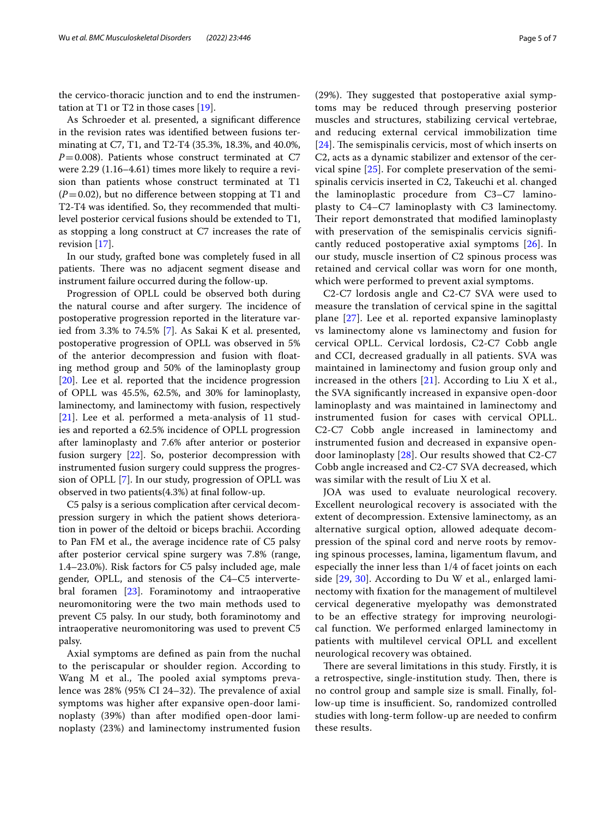the cervico-thoracic junction and to end the instrumentation at T1 or T2 in those cases  $[19]$  $[19]$ .

As Schroeder et al. presented, a signifcant diference in the revision rates was identifed between fusions terminating at C7, T1, and T2-T4 (35.3%, 18.3%, and 40.0%, *P*=0.008). Patients whose construct terminated at C7 were 2.29 (1.16–4.61) times more likely to require a revision than patients whose construct terminated at T1  $(P=0.02)$ , but no difference between stopping at T1 and T2-T4 was identifed. So, they recommended that multilevel posterior cervical fusions should be extended to T1, as stopping a long construct at C7 increases the rate of revision [[17\]](#page-5-16).

In our study, grafted bone was completely fused in all patients. There was no adjacent segment disease and instrument failure occurred during the follow-up.

Progression of OPLL could be observed both during the natural course and after surgery. The incidence of postoperative progression reported in the literature varied from 3.3% to 74.5% [[7\]](#page-5-6). As Sakai K et al. presented, postoperative progression of OPLL was observed in 5% of the anterior decompression and fusion with foating method group and 50% of the laminoplasty group [[20\]](#page-5-19). Lee et al. reported that the incidence progression of OPLL was 45.5%, 62.5%, and 30% for laminoplasty, laminectomy, and laminectomy with fusion, respectively [[21\]](#page-5-20). Lee et al. performed a meta-analysis of 11 studies and reported a 62.5% incidence of OPLL progression after laminoplasty and 7.6% after anterior or posterior fusion surgery [[22](#page-6-0)]. So, posterior decompression with instrumented fusion surgery could suppress the progression of OPLL [[7\]](#page-5-6). In our study, progression of OPLL was observed in two patients(4.3%) at fnal follow-up.

C5 palsy is a serious complication after cervical decompression surgery in which the patient shows deterioration in power of the deltoid or biceps brachii. According to Pan FM et al., the average incidence rate of C5 palsy after posterior cervical spine surgery was 7.8% (range, 1.4–23.0%). Risk factors for C5 palsy included age, male gender, OPLL, and stenosis of the C4–C5 intervertebral foramen [[23\]](#page-6-1). Foraminotomy and intraoperative neuromonitoring were the two main methods used to prevent C5 palsy. In our study, both foraminotomy and intraoperative neuromonitoring was used to prevent C5 palsy.

Axial symptoms are defned as pain from the nuchal to the periscapular or shoulder region. According to Wang M et al., The pooled axial symptoms prevalence was  $28\%$  (95% CI 24–32). The prevalence of axial symptoms was higher after expansive open-door laminoplasty (39%) than after modifed open-door laminoplasty (23%) and laminectomy instrumented fusion (29%). They suggested that postoperative axial symptoms may be reduced through preserving posterior muscles and structures, stabilizing cervical vertebrae, and reducing external cervical immobilization time  $[24]$  $[24]$  $[24]$ . The semispinalis cervicis, most of which inserts on C2, acts as a dynamic stabilizer and extensor of the cervical spine [\[25](#page-6-3)]. For complete preservation of the semispinalis cervicis inserted in C2, Takeuchi et al. changed the laminoplastic procedure from C3–C7 laminoplasty to C4–C7 laminoplasty with C3 laminectomy. Their report demonstrated that modified laminoplasty with preservation of the semispinalis cervicis signifcantly reduced postoperative axial symptoms [[26\]](#page-6-4). In our study, muscle insertion of C2 spinous process was retained and cervical collar was worn for one month, which were performed to prevent axial symptoms.

C2-C7 lordosis angle and C2-C7 SVA were used to measure the translation of cervical spine in the sagittal plane [[27\]](#page-6-5). Lee et al. reported expansive laminoplasty vs laminectomy alone vs laminectomy and fusion for cervical OPLL. Cervical lordosis, C2-C7 Cobb angle and CCI, decreased gradually in all patients. SVA was maintained in laminectomy and fusion group only and increased in the others  $[21]$  $[21]$  $[21]$ . According to Liu X et al., the SVA signifcantly increased in expansive open-door laminoplasty and was maintained in laminectomy and instrumented fusion for cases with cervical OPLL. C2-C7 Cobb angle increased in laminectomy and instrumented fusion and decreased in expansive opendoor laminoplasty [[28\]](#page-6-6). Our results showed that C2-C7 Cobb angle increased and C2-C7 SVA decreased, which was similar with the result of Liu X et al.

JOA was used to evaluate neurological recovery. Excellent neurological recovery is associated with the extent of decompression. Extensive laminectomy, as an alternative surgical option, allowed adequate decompression of the spinal cord and nerve roots by removing spinous processes, lamina, ligamentum favum, and especially the inner less than 1/4 of facet joints on each side [[29](#page-6-7), [30\]](#page-6-8). According to Du W et al., enlarged laminectomy with fxation for the management of multilevel cervical degenerative myelopathy was demonstrated to be an efective strategy for improving neurological function. We performed enlarged laminectomy in patients with multilevel cervical OPLL and excellent neurological recovery was obtained.

There are several limitations in this study. Firstly, it is a retrospective, single-institution study. Then, there is no control group and sample size is small. Finally, follow-up time is insufficient. So, randomized controlled studies with long-term follow-up are needed to confrm these results.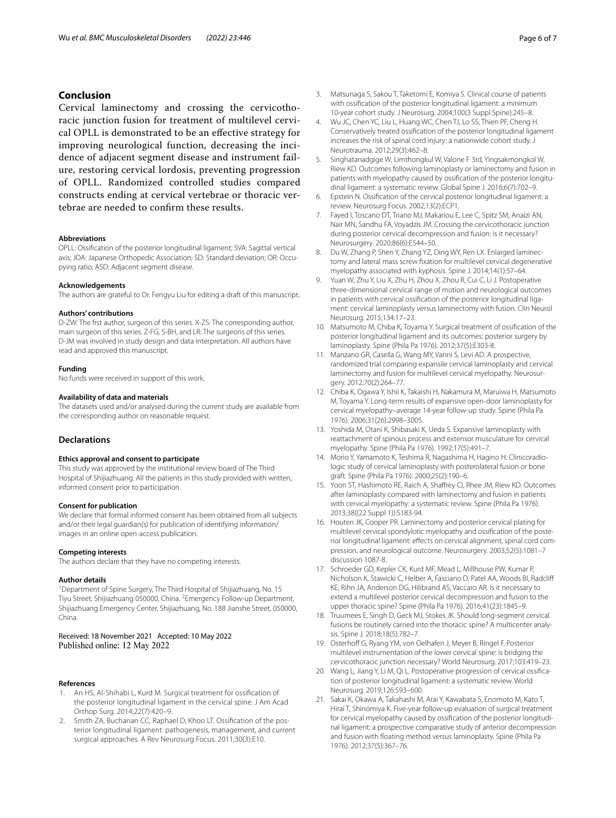# **Conclusion**

Cervical laminectomy and crossing the cervicothoracic junction fusion for treatment of multilevel cervical OPLL is demonstrated to be an efective strategy for improving neurological function, decreasing the incidence of adjacent segment disease and instrument failure, restoring cervical lordosis, preventing progression of OPLL. Randomized controlled studies compared constructs ending at cervical vertebrae or thoracic vertebrae are needed to confrm these results.

#### **Abbreviations**

OPLL: Ossifcation of the posterior longitudinal ligament; SVA: Sagittal vertical axis; JOA: Japanese Orthopedic Association; SD: Standard deviation; OR: Occupying ratio; ASD: Adjacent segment disease.

#### **Acknowledgements**

The authors are grateful to Dr. Fengyu Liu for editing a draft of this manuscript.

#### **Authors' contributions**

D-ZW: The frst author, surgeon of this series. X-ZS: The corresponding author, main surgeon of this series. Z-FG, S-BH, and LR: The surgeons of this series. D-JM was involved in study design and data interpretation. All authors have read and approved this manuscript.

#### **Funding**

No funds were received in support of this work.

#### **Availability of data and materials**

The datasets used and/or analysed during the current study are available from the corresponding author on reasonable request.

# **Declarations**

#### **Ethics approval and consent to participate**

This study was approved by the institutional review board of The Third Hospital of Shijiazhuang. All the patients in this study provided with written, informed consent prior to participation.

#### **Consent for publication**

We declare that formal informed consent has been obtained from all subjects and/or their legal guardian(s) for publication of identifying information/ images in an online open-access publication.

#### **Competing interests**

The authors declare that they have no competing interests.

#### **Author details**

<sup>1</sup> Department of Spine Surgery, The Third Hospital of Shijiazhuang, No. 15 Tiyu Street, Shijiazhuang 050000, China. <sup>2</sup> Emergency Follow-up Department, Shijiazhuang Emergency Center, Shijiazhuang, No. 188 Jianshe Street, 050000, China.

Received: 18 November 2021 Accepted: 10 May 2022 Published online: 12 May 2022

#### **References**

- <span id="page-5-0"></span>1. An HS, Al-Shihabi L, Kurd M. Surgical treatment for ossifcation of the posterior longitudinal ligament in the cervical spine. J Am Acad Orthop Surg. 2014;22(7):420–9.
- <span id="page-5-1"></span>2. Smith ZA, Buchanan CC, Raphael D, Khoo LT. Ossification of the posterior longitudinal ligament: pathogenesis, management, and current surgical approaches. A Rev Neurosurg Focus. 2011;30(3):E10.
- <span id="page-5-2"></span>3. Matsunaga S, Sakou T, Taketomi E, Komiya S. Clinical course of patients with ossifcation of the posterior longitudinal ligament: a minimum 10-year cohort study. J Neurosurg. 2004;100(3 Suppl Spine):245–8.
- <span id="page-5-3"></span>4. Wu JC, Chen YC, Liu L, Huang WC, Chen TJ, Lo SS, Thien PF, Cheng H. Conservatively treated ossifcation of the posterior longitudinal ligament increases the risk of spinal cord injury: a nationwide cohort study. J Neurotrauma. 2012;29(3):462–8.
- <span id="page-5-4"></span>5. Singhatanadgige W, Limthongkul W, Valone F 3rd, Yingsakmongkol W, Riew KD. Outcomes following laminoplasty or laminectomy and fusion in patients with myelopathy caused by ossification of the posterior longitudinal ligament: a systematic review. Global Spine J. 2016;6(7):702–9.
- <span id="page-5-5"></span>6. Epstein N. Ossifcation of the cervical posterior longitudinal ligament: a review. Neurosurg Focus. 2002;13(2):ECP1.
- <span id="page-5-6"></span>7. Fayed I, Toscano DT, Triano MJ, Makariou E, Lee C, Spitz SM, Anaizi AN, Nair MN, Sandhu FA, Voyadzis JM. Crossing the cervicothoracic junction during posterior cervical decompression and fusion: is it necessary? Neurosurgery. 2020;86(6):E544–50.
- <span id="page-5-7"></span>8. Du W, Zhang P, Shen Y, Zhang YZ, Ding WY, Ren LX. Enlarged laminectomy and lateral mass screw fxation for multilevel cervical degenerative myelopathy associated with kyphosis. Spine J. 2014;14(1):57–64.
- <span id="page-5-8"></span>9. Yuan W, Zhu Y, Liu X, Zhu H, Zhou X, Zhou R, Cui C, Li J. Postoperative three-dimensional cervical range of motion and neurological outcomes in patients with cervical ossification of the posterior longitudinal ligament: cervical laminoplasty versus laminectomy with fusion. Clin Neurol Neurosurg. 2015;134:17–23.
- <span id="page-5-9"></span>10. Matsumoto M, Chiba K, Toyama Y. Surgical treatment of ossifcation of the posterior longitudinal ligament and its outcomes: posterior surgery by laminoplasty. Spine (Phila Pa 1976). 2012;37(5):E303-8.
- <span id="page-5-10"></span>11. Manzano GR, Casella G, Wang MY, Vanni S, Levi AD. A prospective, randomized trial comparing expansile cervical laminoplasty and cervical laminectomy and fusion for multilevel cervical myelopathy. Neurosurgery. 2012;70(2):264–77.
- <span id="page-5-11"></span>12. Chiba K, Ogawa Y, Ishii K, Takaishi H, Nakamura M, Maruiwa H, Matsumoto M, Toyama Y. Long-term results of expansive open-door laminoplasty for cervical myelopathy–average 14-year follow-up study. Spine (Phila Pa 1976). 2006;31(26):2998–3005.
- <span id="page-5-12"></span>13. Yoshida M, Otani K, Shibasaki K, Ueda S. Expansive laminoplasty with reattachment of spinous process and extensor musculature for cervical myelopathy. Spine (Phila Pa 1976). 1992;17(5):491–7.
- <span id="page-5-13"></span>14. Morio Y, Yamamoto K, Teshima R, Nagashima H, Hagino H. Clinicoradiologic study of cervical laminoplasty with posterolateral fusion or bone graft. Spine (Phila Pa 1976). 2000;25(2):190–6.
- <span id="page-5-14"></span>15. Yoon ST, Hashimoto RE, Raich A, Shafrey CI, Rhee JM, Riew KD. Outcomes after laminoplasty compared with laminectomy and fusion in patients with cervical myelopathy: a systematic review. Spine (Phila Pa 1976). 2013;38((22 Suppl 1)):S183-94.
- <span id="page-5-15"></span>16. Houten JK, Cooper PR. Laminectomy and posterior cervical plating for multilevel cervical spondylotic myelopathy and ossification of the posterior longitudinal ligament: effects on cervical alignment, spinal cord compression, and neurological outcome. Neurosurgery. 2003;52(5):1081–7 discussion 1087-8.
- <span id="page-5-16"></span>17. Schroeder GD, Kepler CK, Kurd MF, Mead L, Millhouse PW, Kumar P, Nicholson K, Stawicki C, Helber A, Fasciano D, Patel AA, Woods BI, Radclif KE, Rihn JA, Anderson DG, Hilibrand AS, Vaccaro AR. Is it necessary to extend a multilevel posterior cervical decompression and fusion to the upper thoracic spine? Spine (Phila Pa 1976). 2016;41(23):1845–9.
- <span id="page-5-17"></span>18. Truumees E, Singh D, Geck MJ, Stokes JK. Should long-segment cervical fusions be routinely carried into the thoracic spine? A multicenter analysis. Spine J. 2018;18(5):782–7.
- <span id="page-5-18"></span>19. Osterhoff G, Ryang YM, von Oelhafen J, Meyer B, Ringel F. Posterior multilevel instrumentation of the lower cervical spine: is bridging the cervicothoracic junction necessary? World Neurosurg. 2017;103:419–23.
- <span id="page-5-19"></span>20. Wang L, Jiang Y, Li M, Qi L. Postoperative progression of cervical ossification of posterior longitudinal ligament: a systematic review. World Neurosurg. 2019;126:593–600.
- <span id="page-5-20"></span>21. Sakai K, Okawa A, Takahashi M, Arai Y, Kawabata S, Enomoto M, Kato T, Hirai T, Shinomiya K. Five-year follow-up evaluation of surgical treatment for cervical myelopathy caused by ossification of the posterior longitudinal ligament: a prospective comparative study of anterior decompression and fusion with foating method versus laminoplasty. Spine (Phila Pa 1976). 2012;37(5):367–76.